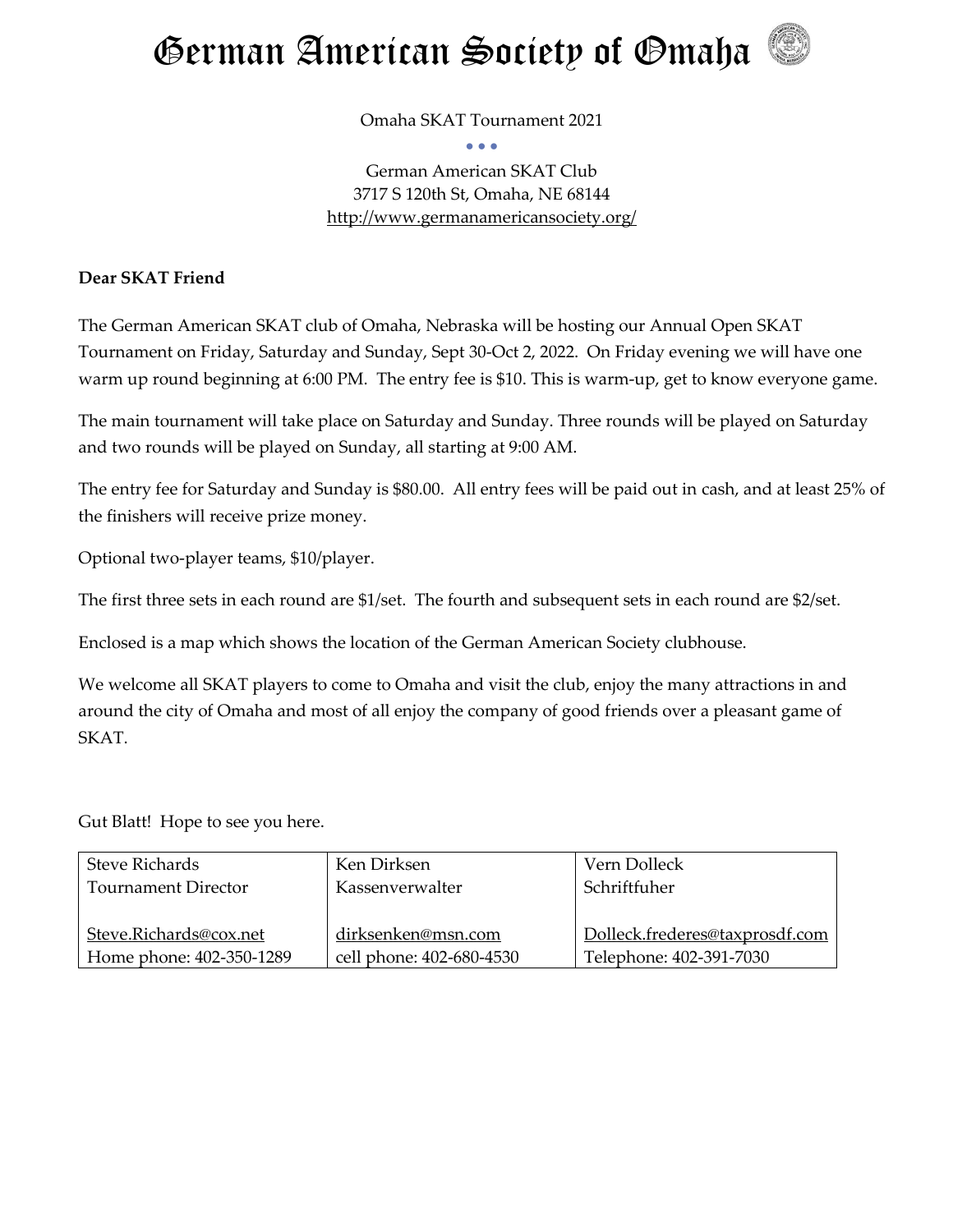

Omaha SKAT Tournament 2021 • • •

German American SKAT Club 3717 S 120th St, Omaha, NE 68144 <http://www.germanamericansociety.org/>

#### **Dear SKAT Friend**

The German American SKAT club of Omaha, Nebraska will be hosting our Annual Open SKAT Tournament on Friday, Saturday and Sunday, Sept 30-Oct 2, 2022. On Friday evening we will have one warm up round beginning at 6:00 PM. The entry fee is \$10. This is warm-up, get to know everyone game.

The main tournament will take place on Saturday and Sunday. Three rounds will be played on Saturday and two rounds will be played on Sunday, all starting at 9:00 AM.

The entry fee for Saturday and Sunday is \$80.00. All entry fees will be paid out in cash, and at least 25% of the finishers will receive prize money.

Optional two-player teams, \$10/player.

The first three sets in each round are \$1/set. The fourth and subsequent sets in each round are \$2/set.

Enclosed is a map which shows the location of the German American Society clubhouse.

We welcome all SKAT players to come to Omaha and visit the club, enjoy the many attractions in and around the city of Omaha and most of all enjoy the company of good friends over a pleasant game of SKAT.

Gut Blatt! Hope to see you here.

| <b>Steve Richards</b>      | Ken Dirksen              | Vern Dolleck                   |
|----------------------------|--------------------------|--------------------------------|
| <b>Tournament Director</b> | Kassenverwalter          | Schriftfuher                   |
|                            |                          |                                |
| Steve.Richards@cox.net     | dirksenken@msn.com       | Dolleck.frederes@taxprosdf.com |
| Home phone: 402-350-1289   | cell phone: 402-680-4530 | Telephone: 402-391-7030        |